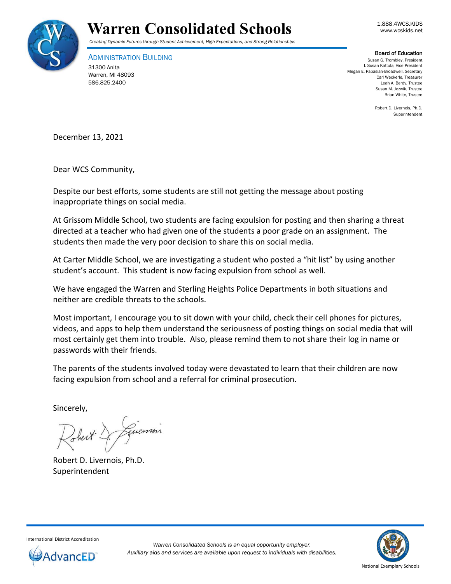



### *Creating Dynamic Futures through Student Achievement, High Expectations, and Strong Relationships*

ADMINISTRATION BUILDING 31300 Anita Warren, MI 48093 586.825.2400

### Board of Education

Susan G. Trombley, President I. Susan Kattula, Vice President Megan E. Papasian-Broadwell, Secretary Carl Weckerle, Treasurer Leah A. Berdy, Trustee Susan M. Jozwik, Trustee Brian White, Trustee

> Robert D. Livernois, Ph.D. Superintendent

December 13, 2021

Dear WCS Community,

Despite our best efforts, some students are still not getting the message about posting inappropriate things on social media.

At Grissom Middle School, two students are facing expulsion for posting and then sharing a threat directed at a teacher who had given one of the students a poor grade on an assignment. The students then made the very poor decision to share this on social media.

At Carter Middle School, we are investigating a student who posted a "hit list" by using another student's account. This student is now facing expulsion from school as well.

We have engaged the Warren and Sterling Heights Police Departments in both situations and neither are credible threats to the schools.

Most important, I encourage you to sit down with your child, check their cell phones for pictures, videos, and apps to help them understand the seriousness of posting things on social media that will most certainly get them into trouble. Also, please remind them to not share their log in name or passwords with their friends.

The parents of the students involved today were devastated to learn that their children are now facing expulsion from school and a referral for criminal prosecution.

Sincerely,

Robert D. Livernois, Ph.D. Superintendent



International District Accreditation